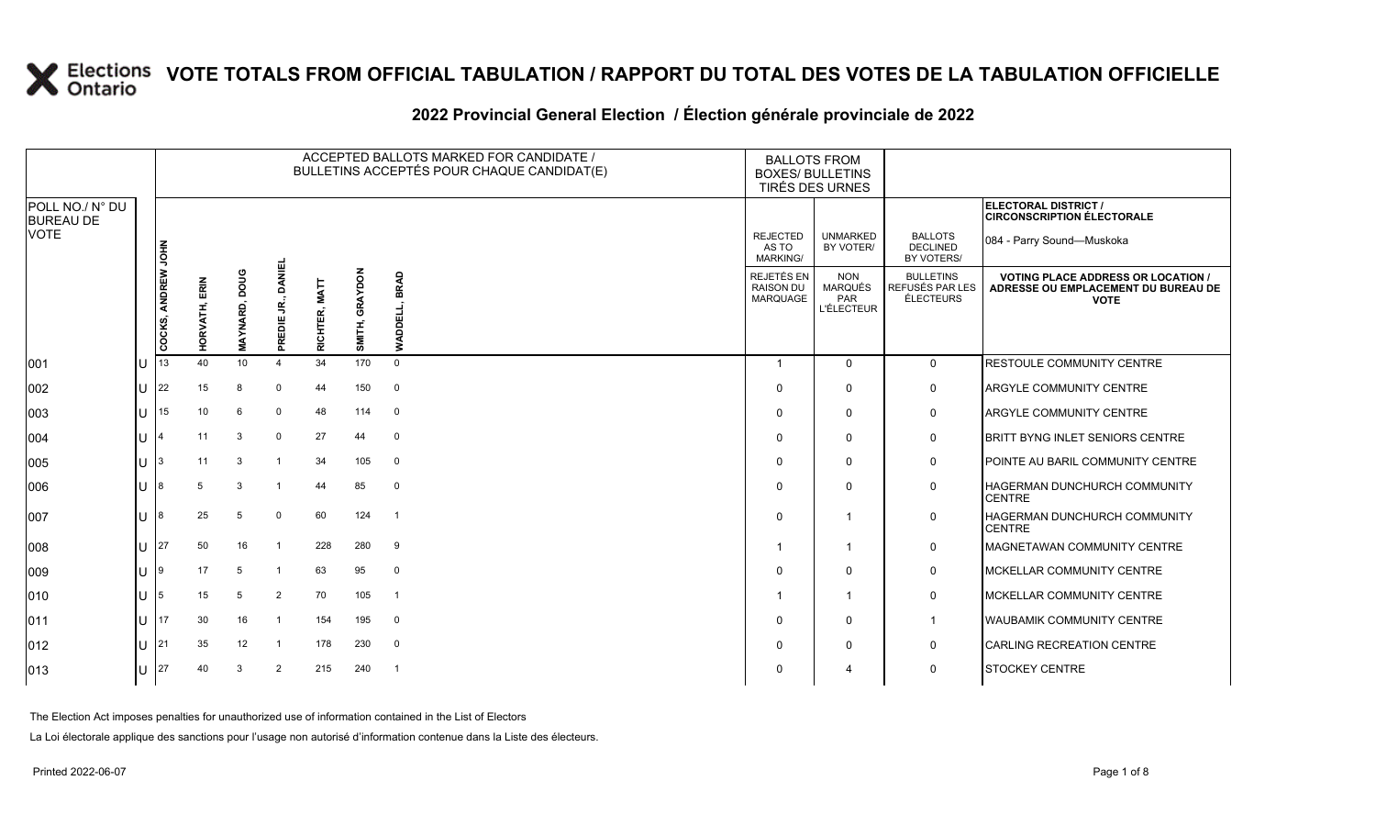#### **2022 Provincial General Election / Élection générale provinciale de 2022**

|                                     |    |                    |               |                         |                                |                         |                   | ACCEPTED BALLOTS MARKED FOR CANDIDATE /<br>BULLETINS ACCEPTÉS POUR CHAQUE CANDIDAT(E) | <b>BALLOTS FROM</b><br><b>BOXES/ BULLETINS</b><br>TIRÉS DES URNES |                                                          |                                                  |                                                                                                 |
|-------------------------------------|----|--------------------|---------------|-------------------------|--------------------------------|-------------------------|-------------------|---------------------------------------------------------------------------------------|-------------------------------------------------------------------|----------------------------------------------------------|--------------------------------------------------|-------------------------------------------------------------------------------------------------|
| POLL NO./ N° DU<br><b>BUREAU DE</b> |    |                    |               |                         |                                |                         |                   |                                                                                       |                                                                   |                                                          |                                                  | <b>ELECTORAL DISTRICT /</b><br><b>CIRCONSCRIPTION ÉLECTORALE</b>                                |
| <b>VOTE</b>                         |    |                    |               |                         |                                |                         |                   |                                                                                       | <b>REJECTED</b><br>AS TO<br>MARKING/                              | <b>UNMARKED</b><br>BY VOTER/                             | <b>BALLOTS</b><br><b>DECLINED</b><br>BY VOTERS/  | 084 - Parry Sound-Muskoka                                                                       |
|                                     |    | COCKS, ANDREW JOHN | HORVATH, ERIN | poug<br><b>MAYNARD,</b> | <b>DANIEL</b><br>ς.<br>PREDIE. | <b>MATT</b><br>RICHTER, | GRAYDON<br>SMITH, | BRAD<br>声<br>⋚                                                                        | REJETÉS EN<br><b>RAISON DU</b><br>MARQUAGE                        | <b>NON</b><br><b>MARQUÉS</b><br>PAR<br><b>L'ÉLECTEUR</b> | <b>BULLETINS</b><br>REFUSÉS PAR LES<br>ÉLECTEURS | <b>VOTING PLACE ADDRESS OR LOCATION /</b><br>ADRESSE OU EMPLACEMENT DU BUREAU DE<br><b>VOTE</b> |
| 001                                 | lu | 13                 | 40            | 10                      |                                | 34                      | 170               | $\Omega$                                                                              |                                                                   | $\mathbf 0$                                              | $\mathbf 0$                                      | <b>RESTOULE COMMUNITY CENTRE</b>                                                                |
| 002                                 | lu | 22                 | 15            | 8                       | $\Omega$                       | 44                      | 150               | $\mathbf 0$                                                                           | $\Omega$                                                          | $\mathbf 0$                                              | 0                                                | ARGYLE COMMUNITY CENTRE                                                                         |
| 003                                 | Iυ | 15                 | 10            | 6                       | $\mathbf 0$                    | 48                      | 114               | $\overline{0}$                                                                        | 0                                                                 | $\mathbf 0$                                              | 0                                                | ARGYLE COMMUNITY CENTRE                                                                         |
| 004                                 | lυ |                    | 11            | 3                       | $\Omega$                       | 27                      | 44                | $\mathbf 0$                                                                           | $\Omega$                                                          | $\Omega$                                                 | $\mathbf 0$                                      | <b>BRITT BYNG INLET SENIORS CENTRE</b>                                                          |
| 005                                 | lu |                    | 11            | 3                       |                                | 34                      | 105               | $\mathbf 0$                                                                           |                                                                   | $\mathbf 0$                                              | 0                                                | POINTE AU BARIL COMMUNITY CENTRE                                                                |
| 006                                 | IП |                    | 5             | 3                       |                                | 44                      | 85                | $\mathbf 0$                                                                           |                                                                   | $\Omega$                                                 | 0                                                | HAGERMAN DUNCHURCH COMMUNITY<br><b>CENTRE</b>                                                   |
| 007                                 | IП |                    | 25            | 5                       | $\mathbf 0$                    | 60                      | 124               | $\overline{1}$                                                                        | $\Omega$                                                          | $\overline{1}$                                           | 0                                                | HAGERMAN DUNCHURCH COMMUNITY<br><b>CENTRE</b>                                                   |
| 008                                 | lu | 27                 | 50            | 16                      | -1                             | 228                     | 280               | 9                                                                                     |                                                                   |                                                          | $\mathbf 0$                                      | <b>MAGNETAWAN COMMUNITY CENTRE</b>                                                              |
| 009                                 | lu | Ι9.                | 17            | 5                       | -1                             | 63                      | 95                | $\mathbf 0$                                                                           | $\Omega$                                                          | $\Omega$                                                 | 0                                                | MCKELLAR COMMUNITY CENTRE                                                                       |
| $ 010\rangle$                       | lu | 5                  | 15            | 5                       | 2                              | 70                      | 105               | $\overline{1}$                                                                        |                                                                   | -1                                                       | 0                                                | <b>MCKELLAR COMMUNITY CENTRE</b>                                                                |
| 011                                 | lu | 17                 | 30            | 16                      | -1                             | 154                     | 195               | $\mathbf 0$                                                                           |                                                                   | $\mathbf 0$                                              | -1                                               | <b>WAUBAMIK COMMUNITY CENTRE</b>                                                                |
| $ 012\rangle$                       | lu | 21                 | 35            | 12                      | -1                             | 178                     | 230               | $\overline{0}$                                                                        | 0                                                                 | $\mathbf 0$                                              | 0                                                | <b>CARLING RECREATION CENTRE</b>                                                                |
| 013                                 | lu | 27                 | 40            | 3                       | 2                              | 215                     | 240               | - 1                                                                                   |                                                                   | 4                                                        | $\mathbf 0$                                      | <b>STOCKEY CENTRE</b>                                                                           |

The Election Act imposes penalties for unauthorized use of information contained in the List of Electors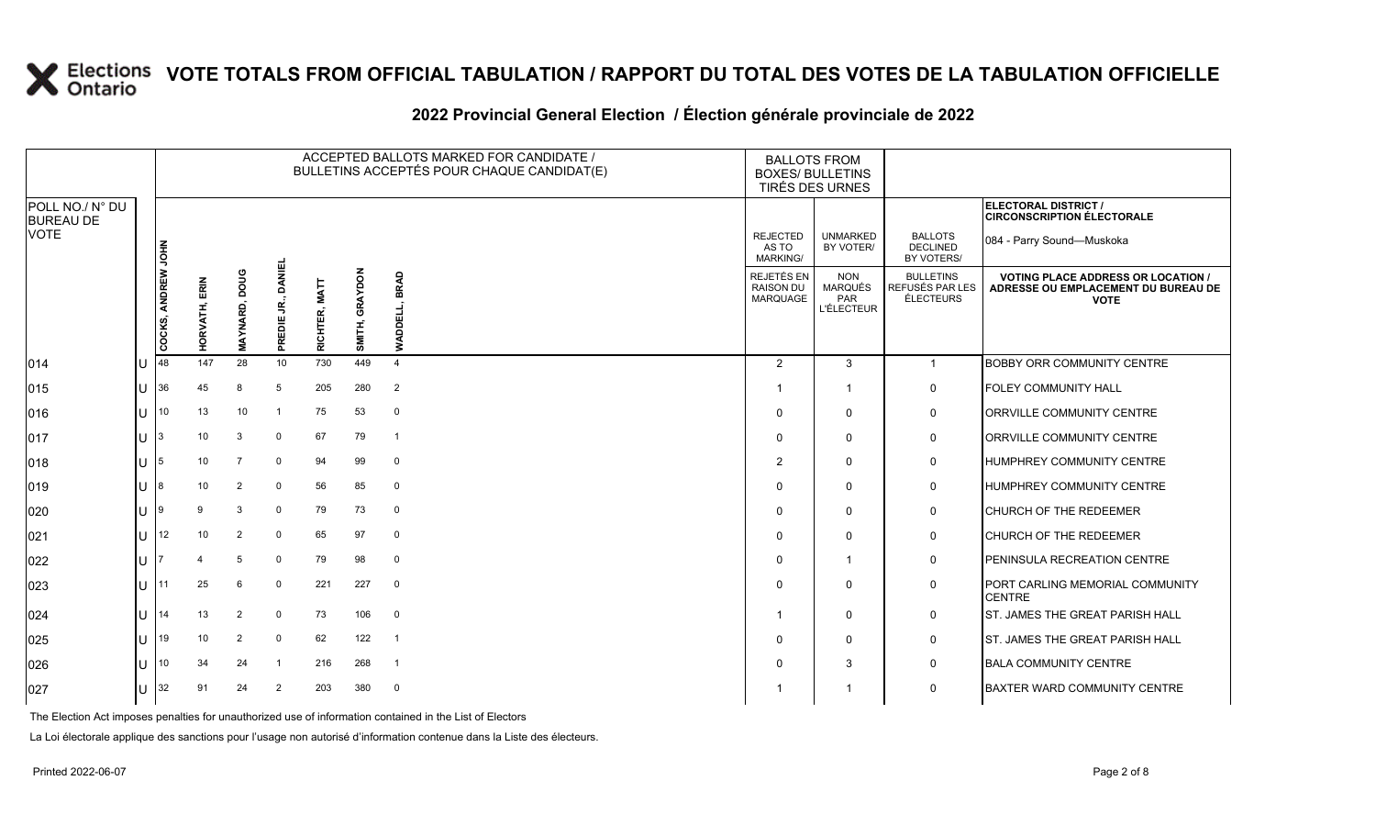#### **2022 Provincial General Election / Élection générale provinciale de 2022**

|                                     |     |                    |               |               |                              |               |                   | ACCEPTED BALLOTS MARKED FOR CANDIDATE /<br>BULLETINS ACCEPTÉS POUR CHAQUE CANDIDAT(E) | <b>BALLOTS FROM</b><br><b>BOXES/ BULLETINS</b> | TIRÉS DES URNES                                          |                                                  |                                                                                                 |
|-------------------------------------|-----|--------------------|---------------|---------------|------------------------------|---------------|-------------------|---------------------------------------------------------------------------------------|------------------------------------------------|----------------------------------------------------------|--------------------------------------------------|-------------------------------------------------------------------------------------------------|
| POLL NO./ N° DU<br><b>BUREAU DE</b> |     |                    |               |               |                              |               |                   |                                                                                       |                                                |                                                          |                                                  | ELECTORAL DISTRICT /<br><b>CIRCONSCRIPTION ÉLECTORALE</b>                                       |
| <b>VOTE</b>                         |     |                    |               |               |                              |               |                   |                                                                                       | <b>REJECTED</b><br>AS TO<br><b>MARKING/</b>    | <b>UNMARKED</b><br>BY VOTER/                             | <b>BALLOTS</b><br><b>DECLINED</b><br>BY VOTERS/  | 084 - Parry Sound-Muskoka                                                                       |
|                                     |     | COCKS, ANDREW JOHN | HORVATH, ERIN | MAYNARD, DOUG | <b>DANIEL</b><br>PREDIE JR., | RICHTER, MATT | GRAYDON<br>SMITH, | BRAD<br>밆<br>₹                                                                        | REJETÉS EN<br><b>RAISON DU</b><br>MARQUAGE     | <b>NON</b><br><b>MARQUÉS</b><br>PAR<br><b>L'ÉLECTEUR</b> | <b>BULLETINS</b><br>REFUSÉS PAR LES<br>ÉLECTEURS | <b>VOTING PLACE ADDRESS OR LOCATION /</b><br>ADRESSE OU EMPLACEMENT DU BUREAU DE<br><b>VOTE</b> |
| 014                                 | Iυ  | 48                 | 147           | 28            | 10                           | 730           | 449               | $\overline{4}$                                                                        | $\overline{2}$                                 | $\mathbf{3}$                                             | $\mathbf{1}$                                     | <b>BOBBY ORR COMMUNITY CENTRE</b>                                                               |
| $ 015\rangle$                       | lU  | 36                 | 45            | 8             | 5                            | 205           | 280               | 2                                                                                     |                                                | $\overline{1}$                                           | $\mathsf{O}$                                     | <b>FOLEY COMMUNITY HALL</b>                                                                     |
| 016                                 | lu  | 10                 | 13            | 10            | -1                           | 75            | 53                | $\mathbf 0$                                                                           | $\Omega$                                       | $\mathbf 0$                                              | $\mathbf 0$                                      | <b>ORRVILLE COMMUNITY CENTRE</b>                                                                |
| $ 017\rangle$                       | Iυ. | 3                  | 10            | 3             | $\mathbf 0$                  | 67            | 79                | $\overline{1}$                                                                        | $\Omega$                                       | $\mathbf 0$                                              | $\mathbf 0$                                      | ORRVILLE COMMUNITY CENTRE                                                                       |
| $ 018\rangle$                       | lu  | 5                  | 10            |               | $\Omega$                     | 94            | 99                | $\mathbf 0$                                                                           | 2                                              | $\mathbf 0$                                              | $\mathsf{O}$                                     | <b>HUMPHREY COMMUNITY CENTRE</b>                                                                |
| $ 019\rangle$                       | lυ  |                    | 10            | 2             | $\mathbf 0$                  | 56            | 85                | $\mathbf 0$                                                                           |                                                | $\mathbf 0$                                              | $\mathbf 0$                                      | <b>HUMPHREY COMMUNITY CENTRE</b>                                                                |
| 020                                 | Iυ  |                    | 9             | 3             | $\mathbf 0$                  | 79            | 73                | $\mathbf 0$                                                                           | $\Omega$                                       | $\mathbf 0$                                              | $\mathsf{O}$                                     | <b>CHURCH OF THE REDEEMER</b>                                                                   |
| 021                                 | lu  | 12                 | 10            | 2             | $\Omega$                     | 65            | 97                | $\Omega$                                                                              | $\Omega$                                       | $\mathbf 0$                                              | $\mathsf{O}$                                     | <b>CHURCH OF THE REDEEMER</b>                                                                   |
| 022                                 | lu  |                    |               | 5             | $\Omega$                     | 79            | 98                | $\mathbf 0$                                                                           | $\Omega$                                       | -1                                                       | $\mathbf 0$                                      | <b>PENINSULA RECREATION CENTRE</b>                                                              |
| 023                                 | Iυ  |                    | 25            | 6             | $\mathbf 0$                  | 221           | 227               | $\mathbf 0$                                                                           |                                                | $\mathbf 0$                                              | 0                                                | PORT CARLING MEMORIAL COMMUNITY<br><b>CENTRE</b>                                                |
| 024                                 | lu  | 14                 | 13            | 2             | $\mathbf 0$                  | 73            | 106               | $\mathbf 0$                                                                           |                                                | $\mathbf 0$                                              | $\mathsf{O}$                                     | ST. JAMES THE GREAT PARISH HALL                                                                 |
| 025                                 | lu  | 19                 | 10            | 2             | $\mathbf 0$                  | 62            | 122               | $\overline{1}$                                                                        |                                                | $\mathbf 0$                                              | 0                                                | <b>ST. JAMES THE GREAT PARISH HALL</b>                                                          |
| 026                                 | lu  | 10                 | 34            | 24            | -1                           | 216           | 268               | $\overline{1}$                                                                        |                                                | 3                                                        | $\mathsf{O}$                                     | <b>BALA COMMUNITY CENTRE</b>                                                                    |
| 027                                 | lu  | 32                 | 91            | 24            | 2                            | 203           | 380               | $\mathbf 0$                                                                           |                                                |                                                          | $\mathbf 0$                                      | <b>BAXTER WARD COMMUNITY CENTRE</b>                                                             |

The Election Act imposes penalties for unauthorized use of information contained in the List of Electors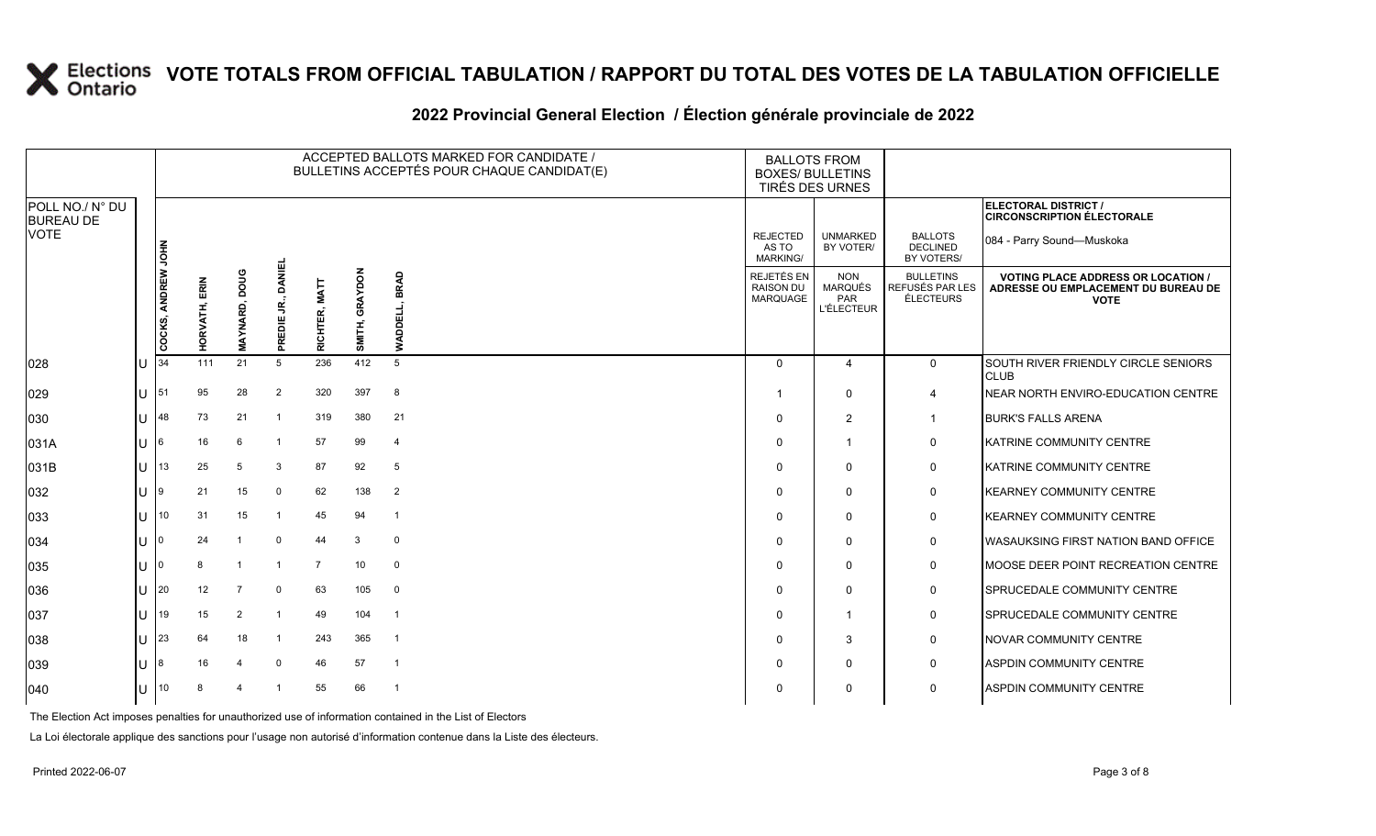#### **2022 Provincial General Election / Élection générale provinciale de 2022**

|                                     |           |                    |               |                      |                            |                         |                          | ACCEPTED BALLOTS MARKED FOR CANDIDATE /<br>BULLETINS ACCEPTÉS POUR CHAQUE CANDIDAT(E) | <b>BALLOTS FROM</b><br><b>BOXES/ BULLETINS</b><br>TIRÉS DES URNES |                                                          |                                                  |                                                                                                 |
|-------------------------------------|-----------|--------------------|---------------|----------------------|----------------------------|-------------------------|--------------------------|---------------------------------------------------------------------------------------|-------------------------------------------------------------------|----------------------------------------------------------|--------------------------------------------------|-------------------------------------------------------------------------------------------------|
| POLL NO./ N° DU<br><b>BUREAU DE</b> |           |                    |               |                      |                            |                         |                          |                                                                                       |                                                                   |                                                          |                                                  | ELECTORAL DISTRICT /<br><b>CIRCONSCRIPTION ÉLECTORALE</b>                                       |
| <b>VOTE</b>                         |           |                    |               |                      |                            |                         |                          |                                                                                       | <b>REJECTED</b><br>AS TO<br>MARKING/                              | <b>UNMARKED</b><br>BY VOTER/                             | <b>BALLOTS</b><br><b>DECLINED</b><br>BY VOTERS/  | 084 - Parry Sound-Muskoka                                                                       |
|                                     |           | COCKS, ANDREW JOHN | HORVATH, ERIN | <b>MAYNARD, DOUG</b> | <b>DANIEL</b><br>PREDIE JR | <b>MATT</b><br>RICHTER, | <b>GRAYDON</b><br>SMITH, | BRAD<br><b>WADDELL,</b>                                                               | REJETÉS EN<br><b>RAISON DU</b><br><b>MARQUAGE</b>                 | <b>NON</b><br><b>MARQUÉS</b><br>PAR<br><b>L'ÉLECTEUR</b> | <b>BULLETINS</b><br>REFUSÉS PAR LES<br>ÉLECTEURS | <b>VOTING PLACE ADDRESS OR LOCATION /</b><br>ADRESSE OU EMPLACEMENT DU BUREAU DE<br><b>VOTE</b> |
| 028                                 | IU        | 34                 | 111           | 21                   | 5                          | 236                     | 412                      | 5                                                                                     | $\Omega$                                                          | 4                                                        | $\mathbf 0$                                      | SOUTH RIVER FRIENDLY CIRCLE SENIORS<br><b>CLUB</b>                                              |
| 029                                 | lu-       | 51                 | 95            | 28                   | 2                          | 320                     | 397                      | 8                                                                                     |                                                                   | $\Omega$                                                 | $\overline{4}$                                   | NEAR NORTH ENVIRO-EDUCATION CENTRE                                                              |
| 030                                 | lU        | 48                 | 73            | 21                   | $\overline{1}$             | 319                     | 380                      | 21                                                                                    | $\Omega$                                                          | $\overline{2}$                                           | $\mathbf{1}$                                     | <b>BURK'S FALLS ARENA</b>                                                                       |
| 031A                                | Iυ        | 6                  | 16            | 6                    | -1                         | 57                      | 99                       | $\overline{4}$                                                                        | $\mathbf 0$                                                       | 1                                                        | $\mathbf 0$                                      | KATRINE COMMUNITY CENTRE                                                                        |
| 031B                                | lU        | 13                 | 25            | 5                    | 3                          | 87                      | 92                       | 5                                                                                     | $\mathbf 0$                                                       | 0                                                        | 0                                                | KATRINE COMMUNITY CENTRE                                                                        |
| $ 032\rangle$                       | <b>IU</b> | 9                  | 21            | 15                   | $\Omega$                   | 62                      | 138                      | $\overline{2}$                                                                        | $\mathbf 0$                                                       | $\Omega$                                                 | $\mathbf 0$                                      | <b>KEARNEY COMMUNITY CENTRE</b>                                                                 |
| $ 033\rangle$                       | lθ        | 10                 | 31            | 15                   | $\overline{1}$             | 45                      | 94                       | $\overline{1}$                                                                        | $\Omega$                                                          | $\mathbf{0}$                                             | $\mathbf 0$                                      | <b>KEARNEY COMMUNITY CENTRE</b>                                                                 |
| 034                                 | lU        | $\mathbf 0$        | 24            | $\overline{1}$       | $\mathbf 0$                | 44                      | 3                        | $\mathbf 0$                                                                           | $\mathbf 0$                                                       | $\Omega$                                                 | $\mathbf 0$                                      | WASAUKSING FIRST NATION BAND OFFICE                                                             |
| 035                                 | IU.       |                    | 8             |                      | $\overline{1}$             | $\overline{7}$          | 10                       | $\mathbf 0$                                                                           | $\mathbf 0$                                                       | $\Omega$                                                 | 0                                                | MOOSE DEER POINT RECREATION CENTRE                                                              |
| 036                                 | ΙU        | 20                 | 12            | 7                    | $\Omega$                   | 63                      | 105                      | $\mathbf 0$                                                                           | $\Omega$                                                          | $\Omega$                                                 | $\mathbf 0$                                      | SPRUCEDALE COMMUNITY CENTRE                                                                     |
| 037                                 | ΙU        | 19                 | 15            | $\overline{2}$       | $\overline{1}$             | 49                      | 104                      | $\overline{1}$                                                                        | $\mathbf 0$                                                       | -1                                                       | $\mathbf 0$                                      | SPRUCEDALE COMMUNITY CENTRE                                                                     |
| 038                                 | lU        | 23                 | 64            | 18                   | $\overline{1}$             | 243                     | 365                      | $\overline{\mathbf{1}}$                                                               | $\mathbf 0$                                                       | 3                                                        | $\mathbf 0$                                      | NOVAR COMMUNITY CENTRE                                                                          |
| 039                                 | ΙU        | 8                  | 16            | 4                    | $\Omega$                   | 46                      | 57                       | $\overline{1}$                                                                        | $\Omega$                                                          | $\Omega$                                                 | $\mathbf 0$                                      | <b>ASPDIN COMMUNITY CENTRE</b>                                                                  |
| 040                                 | lu        | 10 <sup>°</sup>    | 8             |                      |                            | 55                      | 66                       | $\overline{1}$                                                                        | $\Omega$                                                          | 0                                                        | $\mathbf 0$                                      | <b>ASPDIN COMMUNITY CENTRE</b>                                                                  |

The Election Act imposes penalties for unauthorized use of information contained in the List of Electors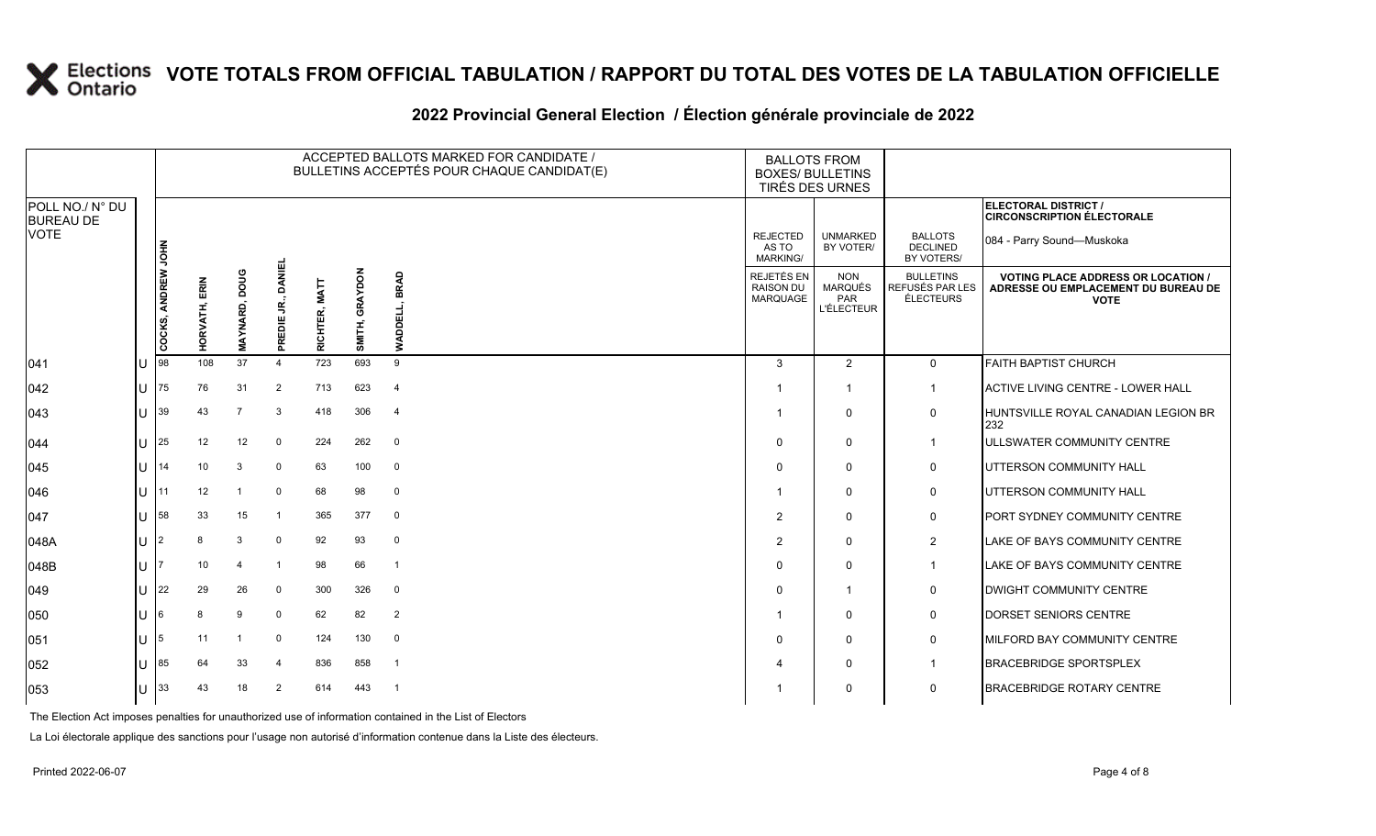#### **2022 Provincial General Election / Élection générale provinciale de 2022**

|                                     |     |                    |               |                |                                |                         |                   | ACCEPTED BALLOTS MARKED FOR CANDIDATE /<br>BULLETINS ACCEPTÉS POUR CHAQUE CANDIDAT(E) | <b>BALLOTS FROM</b><br><b>BOXES/ BULLETINS</b><br>TIRÉS DES URNES |                                                   |                                                  |                                                                                                 |
|-------------------------------------|-----|--------------------|---------------|----------------|--------------------------------|-------------------------|-------------------|---------------------------------------------------------------------------------------|-------------------------------------------------------------------|---------------------------------------------------|--------------------------------------------------|-------------------------------------------------------------------------------------------------|
| POLL NO./ N° DU<br><b>BUREAU DE</b> |     |                    |               |                |                                |                         |                   |                                                                                       |                                                                   |                                                   |                                                  | ELECTORAL DISTRICT /<br><b>CIRCONSCRIPTION ÉLECTORALE</b>                                       |
| <b>VOTE</b>                         |     |                    |               |                |                                |                         |                   |                                                                                       | <b>REJECTED</b><br>AS TO<br><b>MARKING/</b>                       | <b>UNMARKED</b><br>BY VOTER/                      | <b>BALLOTS</b><br><b>DECLINED</b><br>BY VOTERS/  | 084 - Parry Sound-Muskoka                                                                       |
|                                     |     | COCKS, ANDREW JOHN | HORVATH, ERIN | MAYNARD, DOUG  | <b>DANIEL</b><br>S,<br>PREDIE. | <b>MATT</b><br>RICHTER, | GRAYDON<br>SMITH, | BRAD<br><b>WADDELI</b>                                                                | REJETÉS EN<br><b>RAISON DU</b><br>MARQUAGE                        | <b>NON</b><br><b>MARQUÉS</b><br>PAR<br>L'ÉLECTEUR | <b>BULLETINS</b><br>REFUSÉS PAR LES<br>ÉLECTEURS | <b>VOTING PLACE ADDRESS OR LOCATION /</b><br>ADRESSE OU EMPLACEMENT DU BUREAU DE<br><b>VOTE</b> |
| 041                                 | ΙU  | 98                 | 108           | 37             | $\overline{4}$                 | 723                     | 693               | 9                                                                                     | 3                                                                 | 2                                                 | $\mathbf 0$                                      | <b>FAITH BAPTIST CHURCH</b>                                                                     |
| $ 042\rangle$                       | lU  | 75                 | 76            | 31             | $\overline{2}$                 | 713                     | 623               | $\overline{4}$                                                                        |                                                                   | $\overline{\mathbf{1}}$                           | -1                                               | ACTIVE LIVING CENTRE - LOWER HALL                                                               |
| $ 043\rangle$                       | lU  | 39                 | 43            | $\overline{7}$ | 3                              | 418                     | 306               | $\overline{4}$                                                                        |                                                                   | $\mathbf 0$                                       | $\mathbf 0$                                      | HUNTSVILLE ROYAL CANADIAN LEGION BR<br>232                                                      |
| $ 044\rangle$                       | ΙU  | 25                 | 12            | 12             | $\mathbf 0$                    | 224                     | 262               | $\overline{0}$                                                                        | $\Omega$                                                          | $\mathbf 0$                                       | -1                                               | <b>IULLSWATER COMMUNITY CENTRE</b>                                                              |
| 045                                 | lU  | 14                 | 10            | 3              | 0                              | 63                      | 100               | 0                                                                                     | 0                                                                 | $\mathbf 0$                                       | $\mathbf 0$                                      | UTTERSON COMMUNITY HALL                                                                         |
| 046                                 | lu  | 11                 | 12            |                | $\Omega$                       | 68                      | 98                | $\mathbf 0$                                                                           |                                                                   | $\mathbf 0$                                       | 0                                                | UTTERSON COMMUNITY HALL                                                                         |
| 047                                 | IП  | 58                 | 33            | 15             | $\overline{\mathbf{1}}$        | 365                     | 377               | $\mathbf 0$                                                                           | $\overline{2}$                                                    | $\mathbf 0$                                       | $\mathbf 0$                                      | <b>PORT SYDNEY COMMUNITY CENTRE</b>                                                             |
| 048A                                | lul | 2                  | 8             | 3              | $\mathbf 0$                    | 92                      | 93                | $\mathbf 0$                                                                           | 2                                                                 | $\Omega$                                          | 2                                                | LAKE OF BAYS COMMUNITY CENTRE                                                                   |
| 048B                                | lul |                    | 10            | $\overline{4}$ |                                | 98                      | 66                | -1                                                                                    | $\Omega$                                                          | $\mathbf 0$                                       | $\mathbf{1}$                                     | LAKE OF BAYS COMMUNITY CENTRE                                                                   |
| $ 049\rangle$                       | ΙU  | 22                 | 29            | 26             | $\mathbf 0$                    | 300                     | 326               | $\mathbf 0$                                                                           | $\Omega$                                                          | $\overline{1}$                                    | $\mathbf 0$                                      | <b>DWIGHT COMMUNITY CENTRE</b>                                                                  |
| 050                                 | ΙU  | 6                  | 8             | 9              | $\mathbf{0}$                   | 62                      | 82                | $\overline{2}$                                                                        |                                                                   | $\mathbf 0$                                       | $\mathbf 0$                                      | DORSET SENIORS CENTRE                                                                           |
| 051                                 | lU  | 5                  | 11            |                | $\Omega$                       | 124                     | 130               | $\mathbf 0$                                                                           | $\Omega$                                                          | $\mathbf 0$                                       | $\mathbf 0$                                      | <b>IMILFORD BAY COMMUNITY CENTRE</b>                                                            |
| 052                                 | ΙU  | 85                 | 64            | 33             | 4                              | 836                     | 858               | $\overline{1}$                                                                        | 4                                                                 | $\mathbf 0$                                       | $\mathbf 1$                                      | <b>BRACEBRIDGE SPORTSPLEX</b>                                                                   |
| 053                                 | lu  | 33                 | 43            | 18             | $\overline{2}$                 | 614                     | 443               | - 1                                                                                   |                                                                   | $\mathbf 0$                                       | $\mathbf 0$                                      | <b>BRACEBRIDGE ROTARY CENTRE</b>                                                                |

The Election Act imposes penalties for unauthorized use of information contained in the List of Electors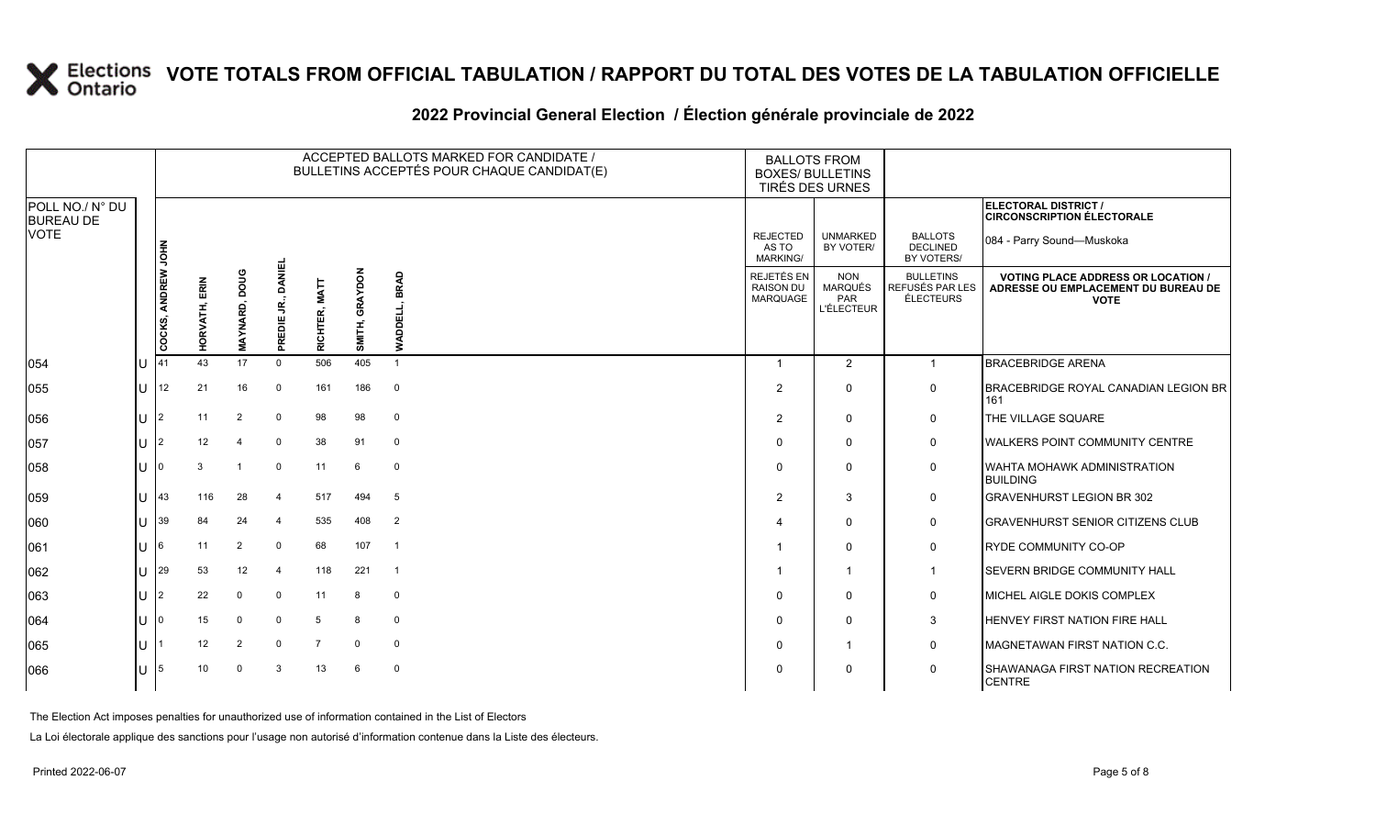#### **2022 Provincial General Election / Élection générale provinciale de 2022**

|                                     |     |                    |                  |                        |                              |                         |                          | ACCEPTED BALLOTS MARKED FOR CANDIDATE /<br>BULLETINS ACCEPTÉS POUR CHAQUE CANDIDAT(E) | <b>BALLOTS FROM</b><br><b>BOXES/ BULLETINS</b><br>TIRÉS DES URNES |                                                   |                                                  |                                                                                               |
|-------------------------------------|-----|--------------------|------------------|------------------------|------------------------------|-------------------------|--------------------------|---------------------------------------------------------------------------------------|-------------------------------------------------------------------|---------------------------------------------------|--------------------------------------------------|-----------------------------------------------------------------------------------------------|
| POLL NO./ N° DU<br><b>BUREAU DE</b> |     |                    |                  |                        |                              |                         |                          |                                                                                       |                                                                   |                                                   |                                                  | <b>ELECTORAL DISTRICT /</b><br><b>CIRCONSCRIPTION ÉLECTORALE</b>                              |
| <b>VOTE</b>                         |     |                    |                  |                        |                              |                         |                          |                                                                                       | <b>REJECTED</b><br>AS TO<br><b>MARKING/</b>                       | <b>UNMARKED</b><br>BY VOTER/                      | <b>BALLOTS</b><br><b>DECLINED</b><br>BY VOTERS/  | 084 - Parry Sound-Muskoka                                                                     |
|                                     |     | COCKS, ANDREW JOHN | ERIN<br>HORVATH, | pone<br><b>MAYNARD</b> | DANEI<br>g<br>ш<br>REDI<br>ᇍ | <b>TIAN</b><br>RICHTER, | <b>GRAYDON</b><br>SMITH, | BRAD<br>빞<br>ā<br>ō<br>≸                                                              | <b>REJETÉS EN</b><br><b>RAISON DU</b><br><b>MARQUAGE</b>          | <b>NON</b><br>MARQUÉS<br>PAR<br><b>L'ÉLECTEUR</b> | <b>BULLETINS</b><br>REFUSÉS PAR LES<br>ÉLECTEURS | <b>VOTING PLACE ADDRESS OR LOCATION</b><br>ADRESSE OU EMPLACEMENT DU BUREAU DE<br><b>VOTE</b> |
| 054                                 | ΠT  | 41                 | 43               | 17                     | $\Omega$                     | 506                     | 405                      | -1                                                                                    | - 1                                                               | 2                                                 | $\mathbf{1}$                                     | <b>BRACEBRIDGE ARENA</b>                                                                      |
| 055                                 | IU  | 12                 | 21               | 16                     | $\overline{0}$               | 161                     | 186                      | $\mathbf 0$                                                                           | $\overline{2}$                                                    | $\mathbf{0}$                                      | $\mathbf 0$                                      | BRACEBRIDGE ROYAL CANADIAN LEGION BR<br>161                                                   |
| 056                                 | IU. | I2                 | 11               | 2                      | $\Omega$                     | 98                      | 98                       | $\mathbf 0$                                                                           | $\overline{2}$                                                    | $\Omega$                                          | $\mathbf 0$                                      | THE VILLAGE SQUARE                                                                            |
| 057                                 | IU  | $\overline{2}$     | 12               | $\overline{4}$         | 0                            | 38                      | 91                       | $\mathbf 0$                                                                           | $\Omega$                                                          | $\Omega$                                          | 0                                                | WALKERS POINT COMMUNITY CENTRE                                                                |
| 058                                 | ΠT  |                    | 3                | -1                     | $\mathbf 0$                  | 11                      | 6                        | 0                                                                                     | 0                                                                 | $\Omega$                                          | 0                                                | <b>WAHTA MOHAWK ADMINISTRATION</b><br><b>BUILDING</b>                                         |
| 059                                 | U   | 43                 | 116              | 28                     | $\overline{4}$               | 517                     | 494                      | 5                                                                                     | $\overline{2}$                                                    | 3                                                 | $\mathbf 0$                                      | <b>GRAVENHURST LEGION BR 302</b>                                                              |
| 060                                 | lU  | 39                 | 84               | 24                     |                              | 535                     | 408                      | $\overline{2}$                                                                        |                                                                   | $\Omega$                                          | 0                                                | <b>GRAVENHURST SENIOR CITIZENS CLUB</b>                                                       |
| 061                                 | ΠT  | I6                 | 11               | $\overline{2}$         | $\overline{0}$               | 68                      | 107                      | $\overline{1}$                                                                        |                                                                   | $\Omega$                                          | $\mathbf 0$                                      | <b>RYDE COMMUNITY CO-OP</b>                                                                   |
| 062                                 | ΠT  | 29                 | 53               | 12                     | $\overline{4}$               | 118                     | 221                      | $\overline{1}$                                                                        |                                                                   | -1                                                | $\mathbf{1}$                                     | <b>SEVERN BRIDGE COMMUNITY HALL</b>                                                           |
| 063                                 | ΙU  | 12                 | 22               | $\mathbf 0$            | 0                            | 11                      | 8                        | 0                                                                                     | $\Omega$                                                          | $\Omega$                                          | $\mathbf 0$                                      | MICHEL AIGLE DOKIS COMPLEX                                                                    |
| 064                                 | Ш   |                    | 15               | $\mathbf 0$            | $\overline{0}$               | 5                       | 8                        | $\mathbf 0$                                                                           | $\Omega$                                                          | $\Omega$                                          | 3                                                | HENVEY FIRST NATION FIRE HALL                                                                 |
| 065                                 | IU  |                    | 12               | $\overline{2}$         | $\Omega$                     | $\overline{7}$          | $\mathbf 0$              | $\mathbf 0$                                                                           | $\Omega$                                                          | -1                                                | $\mathbf 0$                                      | MAGNETAWAN FIRST NATION C.C.                                                                  |
| 066                                 | ΠT  | 5                  | 10               | $\Omega$               | 3                            | 13                      | 6                        | $\Omega$                                                                              | 0                                                                 | $\Omega$                                          | $\mathbf 0$                                      | SHAWANAGA FIRST NATION RECREATION<br><b>CENTRE</b>                                            |

The Election Act imposes penalties for unauthorized use of information contained in the List of Electors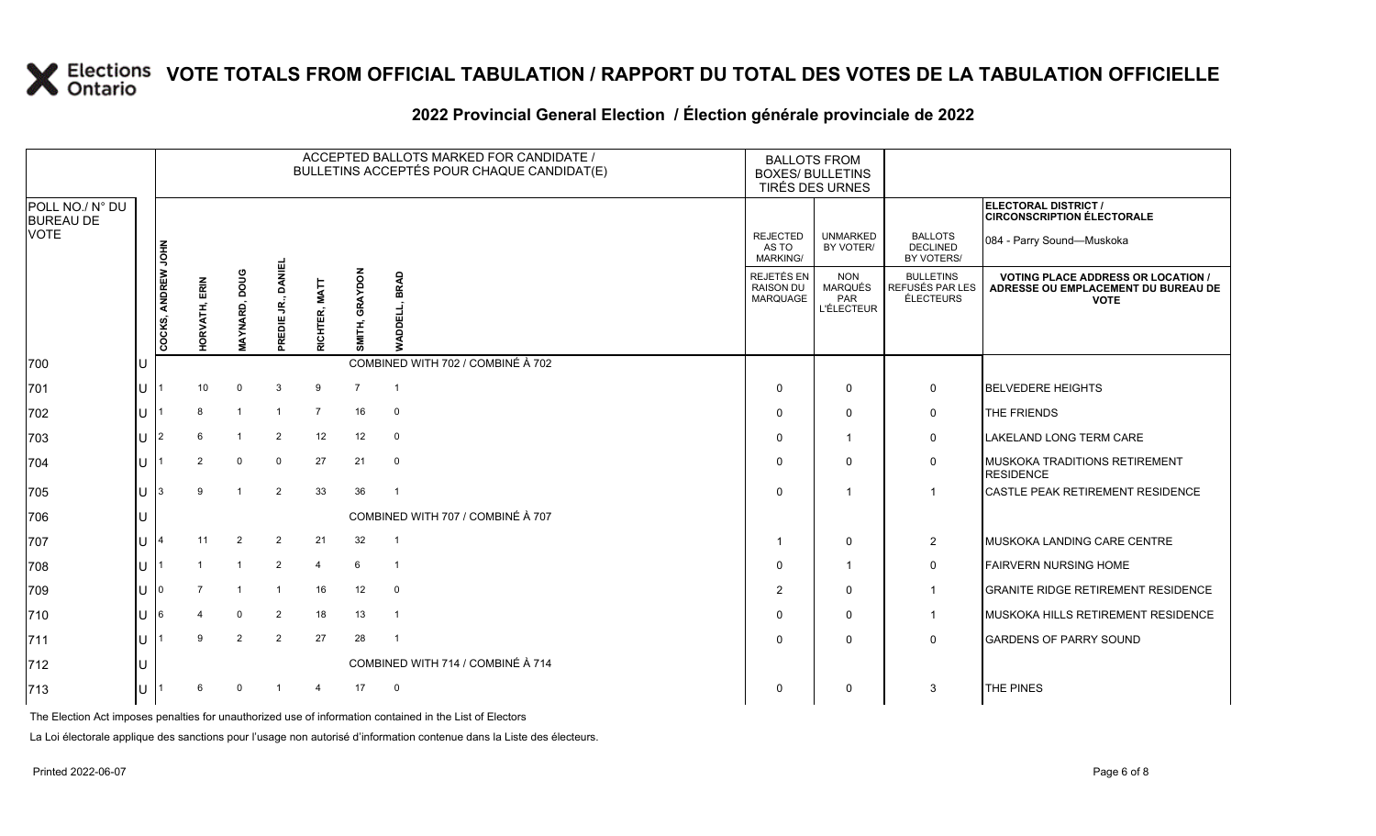|                                     |     |                    |                 |                |                             |                |                          | ACCEPTED BALLOTS MARKED FOR CANDIDATE /<br>BULLETINS ACCEPTÉS POUR CHAQUE CANDIDAT(E) | <b>BALLOTS FROM</b><br><b>BOXES/ BULLETINS</b><br>TIRÉS DES URNES |                                                   |                                                  |                                                                                                 |
|-------------------------------------|-----|--------------------|-----------------|----------------|-----------------------------|----------------|--------------------------|---------------------------------------------------------------------------------------|-------------------------------------------------------------------|---------------------------------------------------|--------------------------------------------------|-------------------------------------------------------------------------------------------------|
| POLL NO./ N° DU<br><b>BUREAU DE</b> |     |                    |                 |                |                             |                |                          |                                                                                       |                                                                   |                                                   |                                                  | ELECTORAL DISTRICT /<br><b>CIRCONSCRIPTION ÉLECTORALE</b>                                       |
| VOTE                                |     |                    |                 |                |                             |                |                          |                                                                                       | <b>REJECTED</b><br>AS TO<br><b>MARKING/</b>                       | <b>UNMARKED</b><br>BY VOTER/                      | <b>BALLOTS</b><br><b>DECLINED</b><br>BY VOTERS/  | 084 - Parry Sound-Muskoka                                                                       |
|                                     |     | COCKS, ANDREW JOHN | ERIN<br>ORVATH, | AYNARD, DOUG   | <b>DANIEL</b><br>REDIE JR., | RICHTER, MATT  | <b>GRAYDON</b><br>SMITH, | BRAD<br>ய<br>ā                                                                        | <b>REJETÉS EN</b><br><b>RAISON DU</b><br>MARQUAGE                 | <b>NON</b><br>MARQUÉS<br>PAR<br><b>L'ÉLECTEUR</b> | <b>BULLETINS</b><br>REFUSÉS PAR LES<br>ÉLECTEURS | <b>VOTING PLACE ADDRESS OR LOCATION /</b><br>ADRESSE OU EMPLACEMENT DU BUREAU DE<br><b>VOTE</b> |
| 700                                 | IU  |                    |                 |                |                             |                |                          | COMBINED WITH 702 / COMBINÉ À 702                                                     |                                                                   |                                                   |                                                  |                                                                                                 |
| 701                                 | IU. |                    | 10              | $\mathbf 0$    | 3                           | 9              | $\overline{7}$           | $\overline{\mathbf{1}}$                                                               | $\Omega$                                                          | $\mathbf 0$                                       | $\mathbf 0$                                      | <b>BELVEDERE HEIGHTS</b>                                                                        |
| 702                                 | IU  |                    | 8               | $\overline{1}$ | $\overline{\mathbf{1}}$     | $\overline{7}$ | 16                       | $\mathbf 0$                                                                           | $\Omega$                                                          | $\Omega$                                          | $\mathbf 0$                                      | THE FRIENDS                                                                                     |
| 703                                 | IU  | 12                 | 6               | $\mathbf{1}$   | 2                           | 12             | 12                       | $\mathbf 0$                                                                           | $\Omega$                                                          | $\overline{\mathbf{1}}$                           | $\mathbf 0$                                      | <b>LAKELAND LONG TERM CARE</b>                                                                  |
| 704                                 | IU  |                    | 2               | $\mathbf 0$    | 0                           | 27             | 21                       | $\mathbf 0$                                                                           | $\Omega$                                                          | $\Omega$                                          | $\mathbf 0$                                      | MUSKOKA TRADITIONS RETIREMENT<br><b>RESIDENCE</b>                                               |
| 705                                 | IU. | 13                 | $\mathbf{Q}$    | $\overline{1}$ | $\overline{2}$              | 33             | 36                       | $\overline{1}$                                                                        | $\Omega$                                                          | $\overline{1}$                                    |                                                  | CASTLE PEAK RETIREMENT RESIDENCE                                                                |
| 706                                 | IU  |                    |                 |                |                             |                |                          | COMBINED WITH 707 / COMBINÉ À 707                                                     |                                                                   |                                                   |                                                  |                                                                                                 |
| 707                                 | IU  |                    | 11              | 2              | $\overline{2}$              | 21             | 32                       | $\overline{1}$                                                                        |                                                                   | $\mathbf 0$                                       | 2                                                | <b>MUSKOKA LANDING CARE CENTRE</b>                                                              |
| 708                                 | lU  |                    |                 | $\mathbf{1}$   | 2                           | $\overline{4}$ | 6                        | $\overline{1}$                                                                        | $\Omega$                                                          | $\overline{1}$                                    | 0                                                | <b>FAIRVERN NURSING HOME</b>                                                                    |
| 709                                 | IU  |                    |                 |                | $\overline{1}$              | 16             | 12                       | $\mathbf 0$                                                                           | 2                                                                 | $\mathbf 0$                                       | $\mathbf 1$                                      | <b>GRANITE RIDGE RETIREMENT RESIDENCE</b>                                                       |
| 710                                 | IU  | 16                 |                 | $\mathbf 0$    | 2                           | 18             | 13                       | $\overline{1}$                                                                        | $\Omega$                                                          | $\mathbf 0$                                       |                                                  | <b>IMUSKOKA HILLS RETIREMENT RESIDENCE</b>                                                      |
| 711                                 | lu  |                    | 9               | $\overline{2}$ | $\overline{2}$              | 27             | 28                       | $\overline{1}$                                                                        | $\Omega$                                                          | $\Omega$                                          | $\mathbf 0$                                      | <b>GARDENS OF PARRY SOUND</b>                                                                   |
| 712                                 | IU  |                    |                 |                |                             |                |                          | COMBINED WITH 714 / COMBINÉ À 714                                                     |                                                                   |                                                   |                                                  |                                                                                                 |
| 713                                 | Iυ  |                    | 6               | $\Omega$       |                             | 4              | 17                       | 0                                                                                     | 0                                                                 | $\mathbf 0$                                       | 3                                                | THE PINES                                                                                       |
|                                     |     |                    |                 |                |                             |                |                          |                                                                                       |                                                                   |                                                   |                                                  |                                                                                                 |

#### **2022 Provincial General Election / Élection générale provinciale de 2022**

The Election Act imposes penalties for unauthorized use of information contained in the List of Electors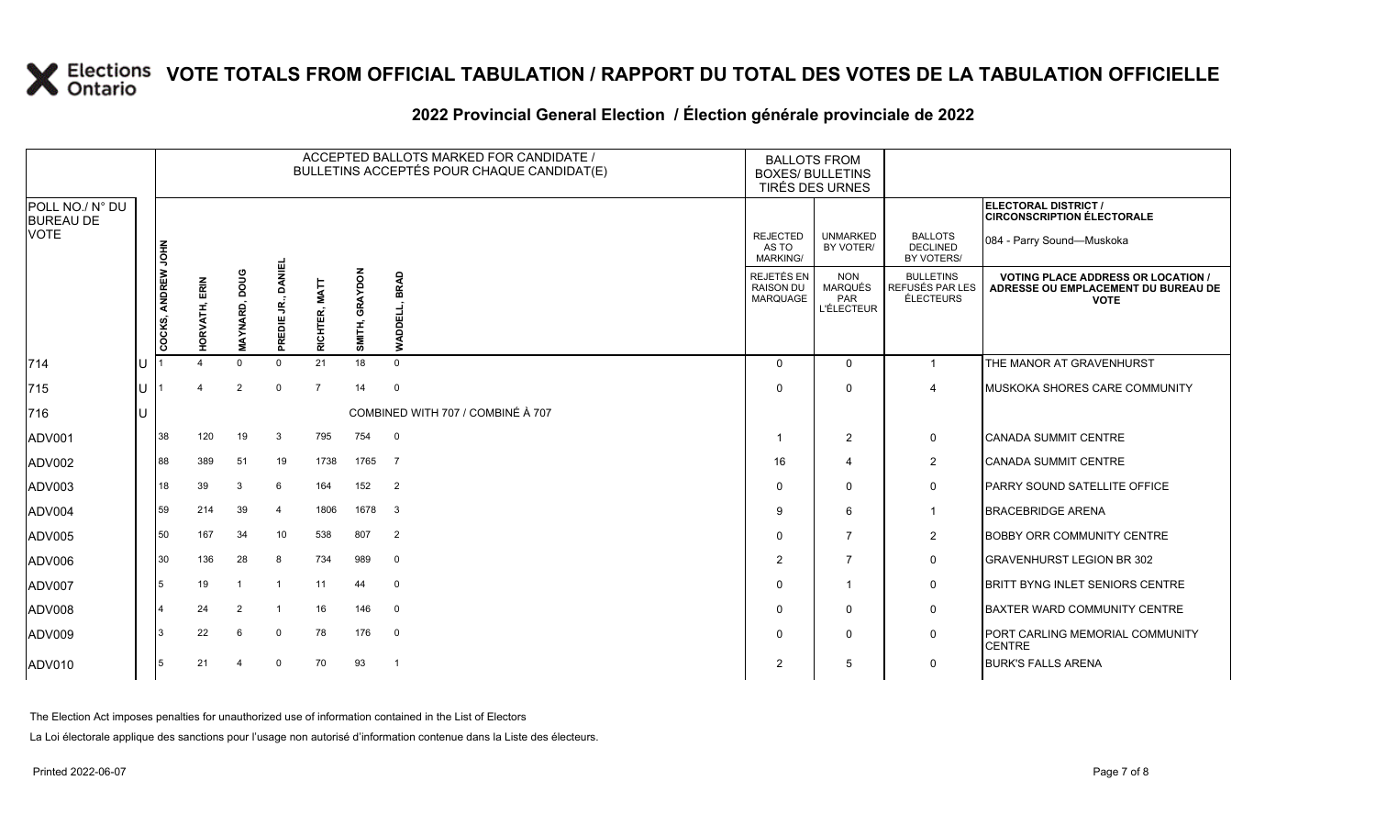| 2022 Provincial General Election / Election générale provinciale de 2022 |  |  |
|--------------------------------------------------------------------------|--|--|
|                                                                          |  |  |

|                                     |    |                    |               |               |                     |                         |                   | ACCEPTED BALLOTS MARKED FOR CANDIDATE /<br>BULLETINS ACCEPTÉS POUR CHAQUE CANDIDAT(E) |                                             | <b>BALLOTS FROM</b><br><b>BOXES/ BULLETINS</b><br>TIRÉS DES URNES |                                                  |                                                                                                 |
|-------------------------------------|----|--------------------|---------------|---------------|---------------------|-------------------------|-------------------|---------------------------------------------------------------------------------------|---------------------------------------------|-------------------------------------------------------------------|--------------------------------------------------|-------------------------------------------------------------------------------------------------|
| POLL NO./ N° DU<br><b>BUREAU DE</b> |    |                    |               |               |                     |                         |                   |                                                                                       |                                             |                                                                   |                                                  | <b>ELECTORAL DISTRICT /</b><br><b>CIRCONSCRIPTION ÉLECTORALE</b>                                |
| <b>VOTE</b>                         |    |                    |               |               |                     |                         |                   |                                                                                       | <b>REJECTED</b><br>AS TO<br><b>MARKING/</b> | <b>UNMARKED</b><br>BY VOTER/                                      | <b>BALLOTS</b><br><b>DECLINED</b><br>BY VOTERS/  | 084 - Parry Sound-Muskoka                                                                       |
|                                     |    | COCKS, ANDREW JOHN | HORVATH, ERIN | MAYNARD, DOUG | DANIEL<br>PREDIE JR | <b>MATT</b><br>RICHTER, | GRAYDON<br>SMITH, | <b>BRAD</b><br>ᇛ<br>ş                                                                 | REJETÉS EN<br><b>RAISON DU</b><br>MARQUAGE  | <b>NON</b><br>MARQUÉS<br>PAR<br><b>L'ÉLECTEUR</b>                 | <b>BULLETINS</b><br>REFUSÉS PAR LES<br>ÉLECTEURS | <b>VOTING PLACE ADDRESS OR LOCATION /</b><br>ADRESSE OU EMPLACEMENT DU BUREAU DE<br><b>VOTE</b> |
| 714                                 | ΙU |                    |               | $\Omega$      | $\Omega$            | 21                      | 18                | $\Omega$                                                                              | $\Omega$                                    | $\mathbf{0}$                                                      | 1                                                | THE MANOR AT GRAVENHURST                                                                        |
| 715                                 | Iυ |                    |               | 2             | $\Omega$            | $\overline{7}$          | 14                | $\mathbf 0$                                                                           | $\Omega$                                    | $\Omega$                                                          | $\overline{A}$                                   | MUSKOKA SHORES CARE COMMUNITY                                                                   |
| 716                                 | lu |                    |               |               |                     |                         |                   | COMBINED WITH 707 / COMBINÉ À 707                                                     |                                             |                                                                   |                                                  |                                                                                                 |
| ADV001                              |    | 38                 | 120           | 19            | 3                   | 795                     | 754               | $\overline{0}$                                                                        |                                             | $\overline{2}$                                                    | 0                                                | <b>CANADA SUMMIT CENTRE</b>                                                                     |
| ADV002                              |    | 88                 | 389           | 51            | 19                  | 1738                    | 1765              | $\overline{7}$                                                                        | 16                                          | $\overline{\mathbf{A}}$                                           | $\overline{c}$                                   | <b>CANADA SUMMIT CENTRE</b>                                                                     |
| ADV003                              |    | 18                 | 39            | 3             | 6                   | 164                     | 152               | $\overline{2}$                                                                        | $\Omega$                                    | $\Omega$                                                          | 0                                                | <b>PARRY SOUND SATELLITE OFFICE</b>                                                             |
| ADV004                              |    | 59                 | 214           | 39            | 4                   | 1806                    | 1678              | 3                                                                                     | 9                                           | 6                                                                 | $\mathbf{1}$                                     | <b>BRACEBRIDGE ARENA</b>                                                                        |
| ADV005                              |    | 50                 | 167           | 34            | 10                  | 538                     | 807               | 2                                                                                     | $\Omega$                                    | $\overline{7}$                                                    | $\overline{2}$                                   | <b>BOBBY ORR COMMUNITY CENTRE</b>                                                               |
| ADV006                              |    | 30                 | 136           | 28            | 8                   | 734                     | 989               | $\mathbf 0$                                                                           | $\overline{2}$                              | $\overline{7}$                                                    | 0                                                | <b>GRAVENHURST LEGION BR 302</b>                                                                |
| ADV007                              |    | 15                 | 19            |               | -1                  | 11                      | 44                | $\mathbf 0$                                                                           | $\Omega$                                    | $\overline{\mathbf{1}}$                                           | $\mathbf 0$                                      | <b>BRITT BYNG INLET SENIORS CENTRE</b>                                                          |
| ADV008                              |    |                    | 24            | 2             | -1                  | 16                      | 146               | $\mathbf 0$                                                                           | $\Omega$                                    | $\mathbf{0}$                                                      | 0                                                | <b>BAXTER WARD COMMUNITY CENTRE</b>                                                             |
| ADV009                              |    | l 3                | 22            | 6             | 0                   | 78                      | 176               | $\mathbf 0$                                                                           | $\Omega$                                    | 0                                                                 | 0                                                | PORT CARLING MEMORIAL COMMUNITY<br><b>CENTRE</b>                                                |
| ADV010                              |    | 5                  | 21            |               | $\mathbf 0$         | 70                      | 93                | - 1                                                                                   | $\overline{2}$                              | 5                                                                 | 0                                                | <b>BURK'S FALLS ARENA</b>                                                                       |

The Election Act imposes penalties for unauthorized use of information contained in the List of Electors